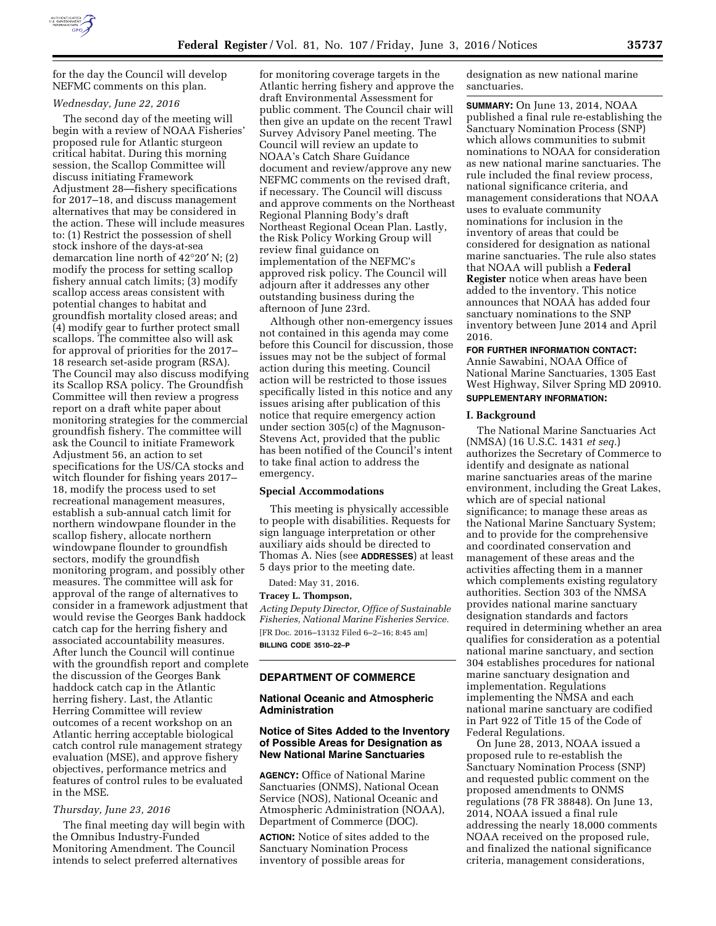

for the day the Council will develop NEFMC comments on this plan.

#### *Wednesday, June 22, 2016*

The second day of the meeting will begin with a review of NOAA Fisheries' proposed rule for Atlantic sturgeon critical habitat. During this morning session, the Scallop Committee will discuss initiating Framework Adjustment 28—fishery specifications for 2017–18, and discuss management alternatives that may be considered in the action. These will include measures to: (1) Restrict the possession of shell stock inshore of the days-at-sea demarcation line north of 42°20′ N; (2) modify the process for setting scallop fishery annual catch limits; (3) modify scallop access areas consistent with potential changes to habitat and groundfish mortality closed areas; and (4) modify gear to further protect small scallops. The committee also will ask for approval of priorities for the 2017– 18 research set-aside program (RSA). The Council may also discuss modifying its Scallop RSA policy. The Groundfish Committee will then review a progress report on a draft white paper about monitoring strategies for the commercial groundfish fishery. The committee will ask the Council to initiate Framework Adjustment 56, an action to set specifications for the US/CA stocks and witch flounder for fishing years 2017– 18, modify the process used to set recreational management measures, establish a sub-annual catch limit for northern windowpane flounder in the scallop fishery, allocate northern windowpane flounder to groundfish sectors, modify the groundfish monitoring program, and possibly other measures. The committee will ask for approval of the range of alternatives to consider in a framework adjustment that would revise the Georges Bank haddock catch cap for the herring fishery and associated accountability measures. After lunch the Council will continue with the groundfish report and complete the discussion of the Georges Bank haddock catch cap in the Atlantic herring fishery. Last, the Atlantic Herring Committee will review outcomes of a recent workshop on an Atlantic herring acceptable biological catch control rule management strategy evaluation (MSE), and approve fishery objectives, performance metrics and features of control rules to be evaluated in the MSE.

## *Thursday, June 23, 2016*

The final meeting day will begin with the Omnibus Industry-Funded Monitoring Amendment. The Council intends to select preferred alternatives

for monitoring coverage targets in the Atlantic herring fishery and approve the draft Environmental Assessment for public comment. The Council chair will then give an update on the recent Trawl Survey Advisory Panel meeting. The Council will review an update to NOAA's Catch Share Guidance document and review/approve any new NEFMC comments on the revised draft, if necessary. The Council will discuss and approve comments on the Northeast Regional Planning Body's draft Northeast Regional Ocean Plan. Lastly, the Risk Policy Working Group will review final guidance on implementation of the NEFMC's approved risk policy. The Council will adjourn after it addresses any other outstanding business during the afternoon of June 23rd.

Although other non-emergency issues not contained in this agenda may come before this Council for discussion, those issues may not be the subject of formal action during this meeting. Council action will be restricted to those issues specifically listed in this notice and any issues arising after publication of this notice that require emergency action under section 305(c) of the Magnuson-Stevens Act, provided that the public has been notified of the Council's intent to take final action to address the emergency.

#### **Special Accommodations**

This meeting is physically accessible to people with disabilities. Requests for sign language interpretation or other auxiliary aids should be directed to Thomas A. Nies (see **ADDRESSES**) at least 5 days prior to the meeting date.

Dated: May 31, 2016.

# **Tracey L. Thompson,**

*Acting Deputy Director, Office of Sustainable Fisheries, National Marine Fisheries Service.*  [FR Doc. 2016–13132 Filed 6–2–16; 8:45 am] **BILLING CODE 3510–22–P** 

### **DEPARTMENT OF COMMERCE**

#### **National Oceanic and Atmospheric Administration**

# **Notice of Sites Added to the Inventory of Possible Areas for Designation as New National Marine Sanctuaries**

**AGENCY:** Office of National Marine Sanctuaries (ONMS), National Ocean Service (NOS), National Oceanic and Atmospheric Administration (NOAA), Department of Commerce (DOC).

**ACTION:** Notice of sites added to the Sanctuary Nomination Process inventory of possible areas for

designation as new national marine sanctuaries.

**SUMMARY:** On June 13, 2014, NOAA published a final rule re-establishing the Sanctuary Nomination Process (SNP) which allows communities to submit nominations to NOAA for consideration as new national marine sanctuaries. The rule included the final review process, national significance criteria, and management considerations that NOAA uses to evaluate community nominations for inclusion in the inventory of areas that could be considered for designation as national marine sanctuaries. The rule also states that NOAA will publish a **Federal Register** notice when areas have been added to the inventory. This notice announces that NOAA has added four sanctuary nominations to the SNP inventory between June 2014 and April 2016.

**FOR FURTHER INFORMATION CONTACT:** 

Annie Sawabini, NOAA Office of National Marine Sanctuaries, 1305 East West Highway, Silver Spring MD 20910. **SUPPLEMENTARY INFORMATION:** 

#### **I. Background**

The National Marine Sanctuaries Act (NMSA) (16 U.S.C. 1431 *et seq.*) authorizes the Secretary of Commerce to identify and designate as national marine sanctuaries areas of the marine environment, including the Great Lakes, which are of special national significance; to manage these areas as the National Marine Sanctuary System; and to provide for the comprehensive and coordinated conservation and management of these areas and the activities affecting them in a manner which complements existing regulatory authorities. Section 303 of the NMSA provides national marine sanctuary designation standards and factors required in determining whether an area qualifies for consideration as a potential national marine sanctuary, and section 304 establishes procedures for national marine sanctuary designation and implementation. Regulations implementing the NMSA and each national marine sanctuary are codified in Part 922 of Title 15 of the Code of Federal Regulations.

On June 28, 2013, NOAA issued a proposed rule to re-establish the Sanctuary Nomination Process (SNP) and requested public comment on the proposed amendments to ONMS regulations (78 FR 38848). On June 13, 2014, NOAA issued a final rule addressing the nearly 18,000 comments NOAA received on the proposed rule, and finalized the national significance criteria, management considerations,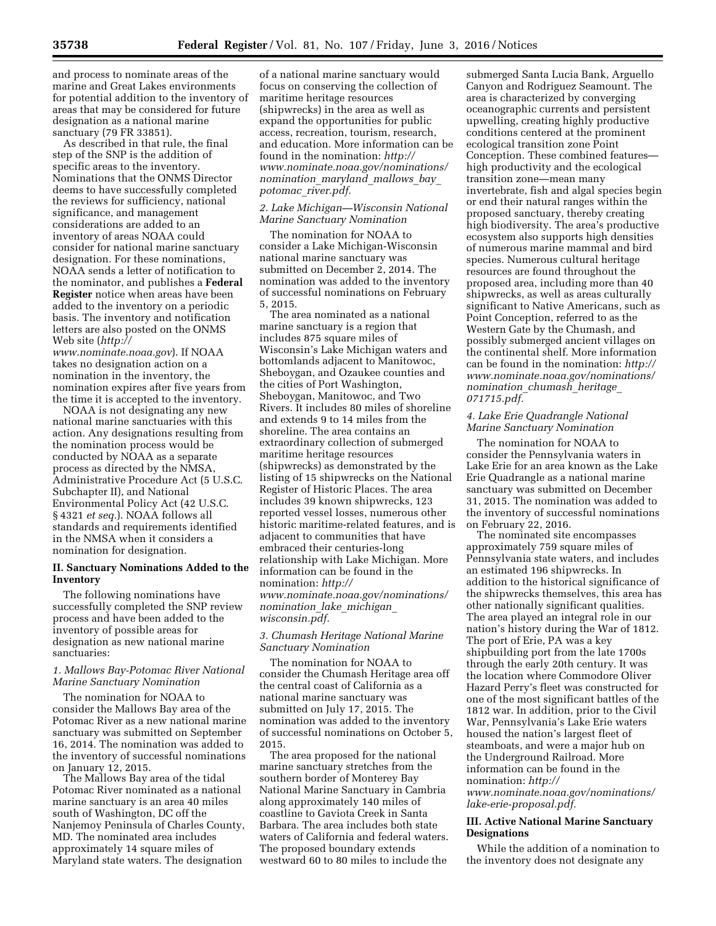and process to nominate areas of the marine and Great Lakes environments for potential addition to the inventory of areas that may be considered for future designation as a national marine sanctuary (79 FR 33851).

As described in that rule, the final step of the SNP is the addition of specific areas to the inventory. Nominations that the ONMS Director deems to have successfully completed the reviews for sufficiency, national significance, and management considerations are added to an inventory of areas NOAA could consider for national marine sanctuary designation. For these nominations, NOAA sends a letter of notification to the nominator, and publishes a **Federal Register** notice when areas have been added to the inventory on a periodic basis. The inventory and notification letters are also posted on the ONMS Web site (*[http://](http://www.nominate.noaa.gov)* 

*[www.nominate.noaa.gov](http://www.nominate.noaa.gov)*). If NOAA takes no designation action on a nomination in the inventory, the nomination expires after five years from the time it is accepted to the inventory.

NOAA is not designating any new national marine sanctuaries with this action. Any designations resulting from the nomination process would be conducted by NOAA as a separate process as directed by the NMSA, Administrative Procedure Act (5 U.S.C. Subchapter II), and National Environmental Policy Act (42 U.S.C. § 4321 *et seq.*). NOAA follows all standards and requirements identified in the NMSA when it considers a nomination for designation.

# **II. Sanctuary Nominations Added to the Inventory**

The following nominations have successfully completed the SNP review process and have been added to the inventory of possible areas for designation as new national marine sanctuaries:

## *1. Mallows Bay-Potomac River National Marine Sanctuary Nomination*

The nomination for NOAA to consider the Mallows Bay area of the Potomac River as a new national marine sanctuary was submitted on September 16, 2014. The nomination was added to the inventory of successful nominations on January 12, 2015.

The Mallows Bay area of the tidal Potomac River nominated as a national marine sanctuary is an area 40 miles south of Washington, DC off the Nanjemoy Peninsula of Charles County, MD. The nominated area includes approximately 14 square miles of Maryland state waters. The designation

of a national marine sanctuary would focus on conserving the collection of maritime heritage resources (shipwrecks) in the area as well as expand the opportunities for public access, recreation, tourism, research, and education. More information can be found in the nomination: *[http://](http://www.nominate.noaa.gov/nominations/nomination_maryland_mallows_bay_potomac_river.pdf) [www.nominate.noaa.gov/nominations/](http://www.nominate.noaa.gov/nominations/nomination_maryland_mallows_bay_potomac_river.pdf) [nomination](http://www.nominate.noaa.gov/nominations/nomination_maryland_mallows_bay_potomac_river.pdf)*\_*maryland*\_*mallows*\_*bay*\_ *potomac*\_*[river.pdf.](http://www.nominate.noaa.gov/nominations/nomination_maryland_mallows_bay_potomac_river.pdf)* 

## *2. Lake Michigan—Wisconsin National Marine Sanctuary Nomination*

The nomination for NOAA to consider a Lake Michigan-Wisconsin national marine sanctuary was submitted on December 2, 2014. The nomination was added to the inventory of successful nominations on February 5, 2015.

The area nominated as a national marine sanctuary is a region that includes 875 square miles of Wisconsin's Lake Michigan waters and bottomlands adjacent to Manitowoc, Sheboygan, and Ozaukee counties and the cities of Port Washington, Sheboygan, Manitowoc, and Two Rivers. It includes 80 miles of shoreline and extends 9 to 14 miles from the shoreline. The area contains an extraordinary collection of submerged maritime heritage resources (shipwrecks) as demonstrated by the listing of 15 shipwrecks on the National Register of Historic Places. The area includes 39 known shipwrecks, 123 reported vessel losses, numerous other historic maritime-related features, and is adjacent to communities that have embraced their centuries-long relationship with Lake Michigan. More information can be found in the nomination: *[http://](http://www.nominate.noaa.gov/nominations/nomination_lake_michigan_wisconsin.pdf) [www.nominate.noaa.gov/nominations/](http://www.nominate.noaa.gov/nominations/nomination_lake_michigan_wisconsin.pdf) [nomination](http://www.nominate.noaa.gov/nominations/nomination_lake_michigan_wisconsin.pdf)*\_*lake*\_*michigan*\_ *[wisconsin.pdf.](http://www.nominate.noaa.gov/nominations/nomination_lake_michigan_wisconsin.pdf)* 

# *3. Chumash Heritage National Marine Sanctuary Nomination*

The nomination for NOAA to consider the Chumash Heritage area off the central coast of California as a national marine sanctuary was submitted on July 17, 2015. The nomination was added to the inventory of successful nominations on October 5, 2015.

The area proposed for the national marine sanctuary stretches from the southern border of Monterey Bay National Marine Sanctuary in Cambria along approximately 140 miles of coastline to Gaviota Creek in Santa Barbara. The area includes both state waters of California and federal waters. The proposed boundary extends westward 60 to 80 miles to include the

submerged Santa Lucia Bank, Arguello Canyon and Rodriguez Seamount. The area is characterized by converging oceanographic currents and persistent upwelling, creating highly productive conditions centered at the prominent ecological transition zone Point Conception. These combined features high productivity and the ecological transition zone—mean many invertebrate, fish and algal species begin or end their natural ranges within the proposed sanctuary, thereby creating high biodiversity. The area's productive ecosystem also supports high densities of numerous marine mammal and bird species. Numerous cultural heritage resources are found throughout the proposed area, including more than 40 shipwrecks, as well as areas culturally significant to Native Americans, such as Point Conception, referred to as the Western Gate by the Chumash, and possibly submerged ancient villages on the continental shelf. More information can be found in the nomination: *[http://](http://www.nominate.noaa.gov/nominations/nomination_chumash_heritage_071715.pdf)  [www.nominate.noaa.gov/nominations/](http://www.nominate.noaa.gov/nominations/nomination_chumash_heritage_071715.pdf) [nomination](http://www.nominate.noaa.gov/nominations/nomination_chumash_heritage_071715.pdf)*\_*chumash*\_*heritage*\_ *[071715.pdf.](http://www.nominate.noaa.gov/nominations/nomination_chumash_heritage_071715.pdf)* 

# *4. Lake Erie Quadrangle National Marine Sanctuary Nomination*

The nomination for NOAA to consider the Pennsylvania waters in Lake Erie for an area known as the Lake Erie Quadrangle as a national marine sanctuary was submitted on December 31, 2015. The nomination was added to the inventory of successful nominations on February 22, 2016.

The nominated site encompasses approximately 759 square miles of Pennsylvania state waters, and includes an estimated 196 shipwrecks. In addition to the historical significance of the shipwrecks themselves, this area has other nationally significant qualities. The area played an integral role in our nation's history during the War of 1812. The port of Erie, PA was a key shipbuilding port from the late 1700s through the early 20th century. It was the location where Commodore Oliver Hazard Perry's fleet was constructed for one of the most significant battles of the 1812 war. In addition, prior to the Civil War, Pennsylvania's Lake Erie waters housed the nation's largest fleet of steamboats, and were a major hub on the Underground Railroad. More information can be found in the nomination: *[http://](http://www.nominate.noaa.gov/nominations/lake-erie-proposal.pdf)*

*[www.nominate.noaa.gov/nominations/](http://www.nominate.noaa.gov/nominations/lake-erie-proposal.pdf) [lake-erie-proposal.pdf.](http://www.nominate.noaa.gov/nominations/lake-erie-proposal.pdf)* 

# **III. Active National Marine Sanctuary Designations**

While the addition of a nomination to the inventory does not designate any